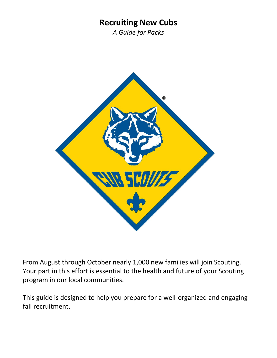### **Recruiting New Cubs**

*A Guide for Packs*



From August through October nearly 1,000 new families will join Scouting. Your part in this effort is essential to the health and future of your Scouting program in our local communities.

This guide is designed to help you prepare for a well-organized and engaging fall recruitment.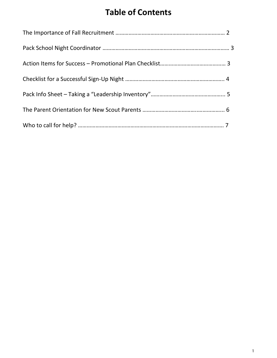# **Table of Contents**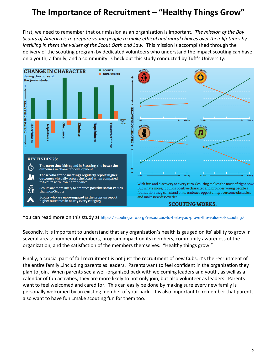### **The Importance of Recruitment – "Healthy Things Grow"**

First, we need to remember that our mission as an organization is important. *The mission of the Boy Scouts of America is to prepare young people to make ethical and moral choices over their lifetimes by instilling in them the values of the Scout Oath and Law.* This mission is accomplished through the delivery of the scouting program by dedicated volunteers who understand the impact scouting can have on a youth, a family, and a community. Check out this study conducted by Tuft's University:



You can read more on this study at <http://scoutingwire.org/resources-to-help-you-prove-the-value-of-scouting/>

Secondly, it is important to understand that any organization's health is gauged on its' ability to grow in several areas: number of members, program impact on its members, community awareness of the organization, and the satisfaction of the members themselves. "Healthy things grow."

Finally, a crucial part of fall recruitment is not just the recruitment of new Cubs, it's the recruitment of the entire family…including parents as leaders. Parents want to feel confident in the organization they plan to join. When parents see a well-organized pack with welcoming leaders and youth, as well as a calendar of fun activities, they are more likely to not only join, but also volunteer as leaders. Parents want to feel welcomed and cared for. This can easily be done by making sure every new family is personally welcomed by an existing member of your pack. It is also important to remember that parents also want to have fun…make scouting fun for them too.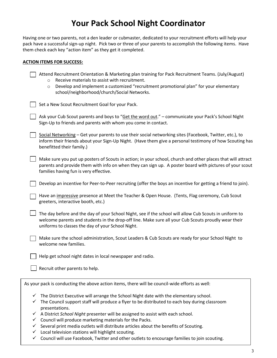## **Your Pack School Night Coordinator**

Having one or two parents, not a den leader or cubmaster, dedicated to your recruitment efforts will help your pack have a successful sign-up night. Pick two or three of your parents to accomplish the following items. Have them check each key "action item" as they get it completed.

#### **ACTION ITEMS FOR SUCCESS:**

| Attend Recruitment Orientation & Marketing plan training for Pack Recruitment Teams. (July/August)<br>Receive materials to assist with recruitment.<br>$\circ$<br>Develop and implement a customized "recruitment promotional plan" for your elementary<br>$\circ$<br>school/neighborhood/church/Social Networks. |
|-------------------------------------------------------------------------------------------------------------------------------------------------------------------------------------------------------------------------------------------------------------------------------------------------------------------|
| Set a New Scout Recruitment Goal for your Pack.                                                                                                                                                                                                                                                                   |
| Ask your Cub Scout parents and boys to "Get the word out." - communicate your Pack's School Night<br>Sign-Up to friends and parents with whom you come in contact.                                                                                                                                                |
| Social Networking - Get your parents to use their social networking sites (Facebook, Twitter, etc.), to<br>inform their friends about your Sign-Up Night. (Have them give a personal testimony of how Scouting has<br>benefitted their family.)                                                                   |
| Make sure you put up posters of Scouts in action; in your school, church and other places that will attract<br>parents and provide them with info on when they can sign up. A poster board with pictures of your scout<br>families having fun is very effective.                                                  |
| Develop an incentive for Peer-to-Peer recruiting (offer the boys an incentive for getting a friend to join).                                                                                                                                                                                                      |
| Have an impressive presence at Meet the Teacher & Open House. (Tents, Flag ceremony, Cub Scout<br>greeters, interactive booth, etc.)                                                                                                                                                                              |
| The day before and the day of your School Night, see if the school will allow Cub Scouts in uniform to<br>welcome parents and students in the drop-off line. Make sure all your Cub Scouts proudly wear their<br>uniforms to classes the day of your School Night.                                                |
| Make sure the school administration, Scout Leaders & Cub Scouts are ready for your School Night to<br>welcome new families.                                                                                                                                                                                       |
| Help get school night dates in local newspaper and radio.                                                                                                                                                                                                                                                         |
| Recruit other parents to help.                                                                                                                                                                                                                                                                                    |
| As your pack is conducting the above action items, there will be council-wide efforts as well:                                                                                                                                                                                                                    |

- $\checkmark$  The District Executive will arrange the School Night date with the elementary school. ✓ The Council support staff will produce a flyer to be distributed to each boy during classroom presentations.
- ✓ A District *School Night* presenter will be assigned to assist with each school.
- $\checkmark$  Council will produce marketing materials for the Packs.
- $\checkmark$  Several print media outlets will distribute articles about the benefits of Scouting.
- $\checkmark$  Local television stations will highlight scouting.
- $\checkmark$  Council will use Facebook, Twitter and other outlets to encourage families to join scouting.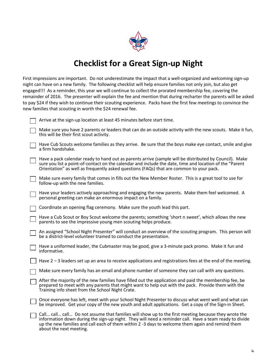

### **Checklist for a Great Sign-up Night**

First impressions are important. Do not underestimate the impact that a well-organized and welcoming sign-up night can have on a new family. The following checklist will help ensure families not only join, but also get engaged!!! As a reminder, this year we will continue to collect the prorated membership fee, covering the remainder of 2016. The presenter will explain the fee and mention that during recharter the parents will be asked to pay \$24 if they wish to continue their scouting experience. Packs have the first few meetings to convince the new families that scouting in worth the \$24 renewal fee.

|  | Arrive at the sign-up location at least 45 minutes before start time. |  |
|--|-----------------------------------------------------------------------|--|
|  |                                                                       |  |

| Make sure you have 2 parents or leaders that can do an outside activity with the new scouts. Make it fun, |  |
|-----------------------------------------------------------------------------------------------------------|--|
| this will be their first scout activity.                                                                  |  |

- Have Cub Scouts welcome families as they arrive. Be sure that the boys make eye contact, smile and give a firm handshake.
- Have a pack calendar ready to hand out as parents arrive (sample will be distributed by Council). Make sure you list a point-of-contact on the calendar and include the date, time and location of the "Parent Orientation" as well as frequently asked questions (FAQs) that are common to your pack.
- Make sure every family that comes in fills out the New Member Roster. This is a great tool to use for follow-up with the new families.
- Have your leaders actively approaching and engaging the new parents. Make them feel welcomed. A personal greeting can make an enormous impact on a family.

| T Coordinate an opening flag ceremony. Make sure the youth lead this part. |  |
|----------------------------------------------------------------------------|--|
|----------------------------------------------------------------------------|--|

- Have a Cub Scout or Boy Scout welcome the parents; something 'short n sweet', which allows the new parents to see the impressive young men scouting helps produce.
- An assigned "School Night Presenter" will conduct an overview of the scouting program. This person will be a district-level volunteer trained to conduct the presentation.
- Have a uniformed leader, the Cubmaster may be good, give a 3-minute pack promo. Make it fun and informative.
- Have 2 3 leaders set up an area to receive applications and registrations fees at the end of the meeting.
- Make sure every family has an email and phone number of someone they can call with any questions.
- After the majority of the new families have filled out the application and paid the membership fee, be prepared to meet with any parents that might want to help out with the pack. Provide them with the Training info sheet from the School Night Crate.
	- Once everyone has left, meet with your School Night Presenter to discuss what went well and what can be improved. Get your copy of the new youth and adult applications. Get a copy of the Sign-in Sheet.
- Call… call… call… Do not assume that families will show up to the first meeting because they wrote the information down during the sign-up night. They will need a reminder call. Have a team ready to divide up the new families and call each of them within 2 -3 days to welcome them again and remind them about the next meeting.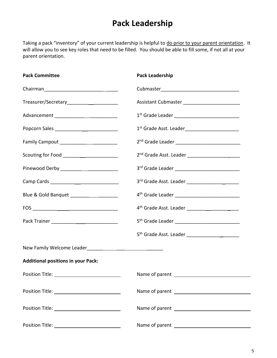## **Pack Leadership**

Taking a pack "inventory" of your current leadership is helpful to do prior to your parent orientation. It will allow you to see key roles that need to be filled. You should be able to fill some, if not all at your parent orientation.

| <b>Pack Committee</b>                     | Pack Leadership                                              |
|-------------------------------------------|--------------------------------------------------------------|
|                                           |                                                              |
|                                           | Assistant Cubmaster ____________________________             |
|                                           |                                                              |
|                                           | 1st Grade Asst. Leader__________________________             |
|                                           |                                                              |
| Scouting for Food _______________________ |                                                              |
|                                           |                                                              |
|                                           |                                                              |
| Blue & Gold Banquet _____________________ | 4 <sup>th</sup> Grade Leader _______________________________ |
|                                           | 4 <sup>th</sup> Grade Asst. Leader _____________________     |
|                                           | 5 <sup>th</sup> Grade Leader _______________________________ |
|                                           |                                                              |
|                                           |                                                              |
| <b>Additional positions in your Pack:</b> |                                                              |
|                                           |                                                              |
|                                           |                                                              |
|                                           |                                                              |
|                                           |                                                              |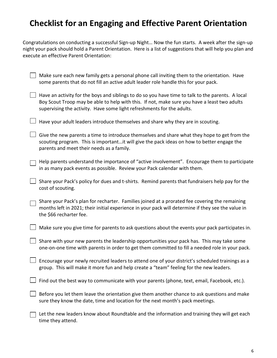### **Checklist for an Engaging and Effective Parent Orientation**

Congratulations on conducting a successful Sign-up Night… Now the fun starts. A week after the sign-up night your pack should hold a Parent Orientation. Here is a list of suggestions that will help you plan and execute an effective Parent Orientation:

| Make sure each new family gets a personal phone call inviting them to the orientation. Have<br>some parents that do not fill an active adult leader role handle this for your pack.                                                                                         |
|-----------------------------------------------------------------------------------------------------------------------------------------------------------------------------------------------------------------------------------------------------------------------------|
| Have an activity for the boys and siblings to do so you have time to talk to the parents. A local<br>Boy Scout Troop may be able to help with this. If not, make sure you have a least two adults<br>supervising the activity. Have some light refreshments for the adults. |
| Have your adult leaders introduce themselves and share why they are in scouting.                                                                                                                                                                                            |
| Give the new parents a time to introduce themselves and share what they hope to get from the<br>scouting program. This is importantit will give the pack ideas on how to better engage the<br>parents and meet their needs as a family.                                     |
| Help parents understand the importance of "active involvement". Encourage them to participate<br>in as many pack events as possible. Review your Pack calendar with them.                                                                                                   |
| Share your Pack's policy for dues and t-shirts. Remind parents that fundraisers help pay for the<br>cost of scouting.                                                                                                                                                       |
| Share your Pack's plan for recharter. Families joined at a prorated fee covering the remaining<br>months left in 2021; their initial experience in your pack will determine if they see the value in<br>the \$66 recharter fee.                                             |
| Make sure you give time for parents to ask questions about the events your pack participates in.                                                                                                                                                                            |
| Share with your new parents the leadership opportunities your pack has. This may take some<br>one-on-one time with parents in order to get them committed to fill a needed role in your pack.                                                                               |
| Encourage your newly recruited leaders to attend one of your district's scheduled trainings as a<br>group. This will make it more fun and help create a "team" feeling for the new leaders.                                                                                 |
| Find out the best way to communicate with your parents (phone, text, email, Facebook, etc.).                                                                                                                                                                                |
| Before you let them leave the orientation give them another chance to ask questions and make<br>sure they know the date, time and location for the next month's pack meetings.                                                                                              |
| Let the new leaders know about Roundtable and the information and training they will get each<br>time they attend.                                                                                                                                                          |